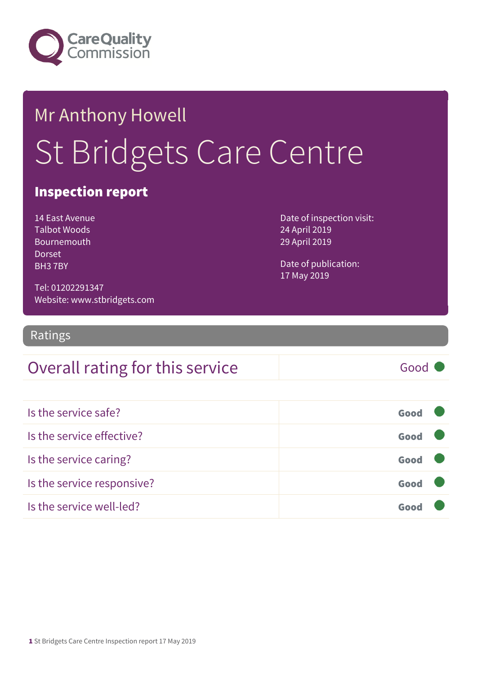

# Mr Anthony Howell St Bridgets Care Centre

#### Inspection report

14 East Avenue Talbot Woods Bournemouth Dorset BH3 7BY

Date of inspection visit: 24 April 2019 29 April 2019

Date of publication: 17 May 2019

Tel: 01202291347 Website: www.stbridgets.com

Ratings

#### Overall rating for this service Fig. 6000

Is the service safe? Good Is the service effective? Good Is the service caring? Good Is the service responsive? Good Is the service well-led? Good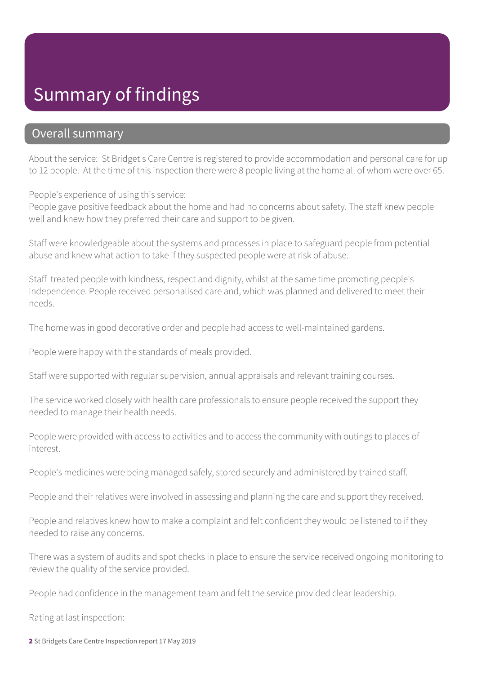#### Summary of findings

#### Overall summary

About the service: St Bridget's Care Centre is registered to provide accommodation and personal care for up to 12 people. At the time of this inspection there were 8 people living at the home all of whom were over 65.

People's experience of using this service:

People gave positive feedback about the home and had no concerns about safety. The staff knew people well and knew how they preferred their care and support to be given.

Staff were knowledgeable about the systems and processes in place to safeguard people from potential abuse and knew what action to take if they suspected people were at risk of abuse.

Staff treated people with kindness, respect and dignity, whilst at the same time promoting people's independence. People received personalised care and, which was planned and delivered to meet their needs.

The home was in good decorative order and people had access to well-maintained gardens.

People were happy with the standards of meals provided.

Staff were supported with regular supervision, annual appraisals and relevant training courses.

The service worked closely with health care professionals to ensure people received the support they needed to manage their health needs.

People were provided with access to activities and to access the community with outings to places of interest.

People's medicines were being managed safely, stored securely and administered by trained staff.

People and their relatives were involved in assessing and planning the care and support they received.

People and relatives knew how to make a complaint and felt confident they would be listened to if they needed to raise any concerns.

There was a system of audits and spot checks in place to ensure the service received ongoing monitoring to review the quality of the service provided.

People had confidence in the management team and felt the service provided clear leadership.

Rating at last inspection:

2 St Bridgets Care Centre Inspection report 17 May 2019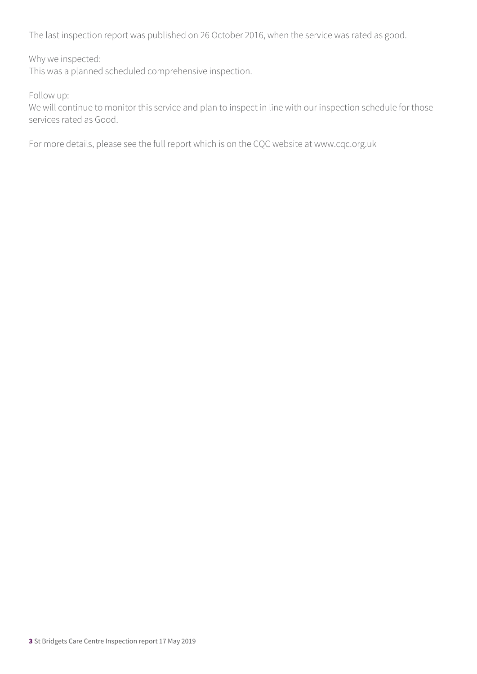The last inspection report was published on 26 October 2016, when the service was rated as good.

Why we inspected:

This was a planned scheduled comprehensive inspection.

Follow up:

We will continue to monitor this service and plan to inspect in line with our inspection schedule for those services rated as Good.

For more details, please see the full report which is on the CQC website at www.cqc.org.uk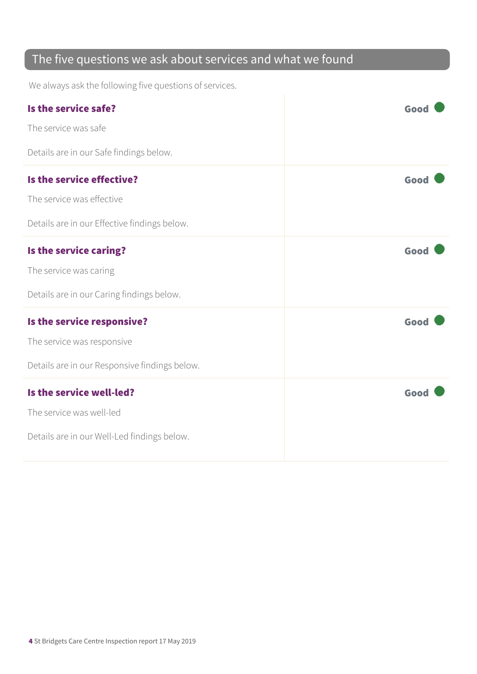#### The five questions we ask about services and what we found

We always ask the following five questions of services.

| Is the service safe?<br>The service was safe<br>Details are in our Safe findings below.                   | Good |
|-----------------------------------------------------------------------------------------------------------|------|
| Is the service effective?<br>The service was effective<br>Details are in our Effective findings below.    | Good |
| Is the service caring?<br>The service was caring<br>Details are in our Caring findings below.             | Good |
| Is the service responsive?<br>The service was responsive<br>Details are in our Responsive findings below. | Good |
| Is the service well-led?<br>The service was well-led<br>Details are in our Well-Led findings below.       | Good |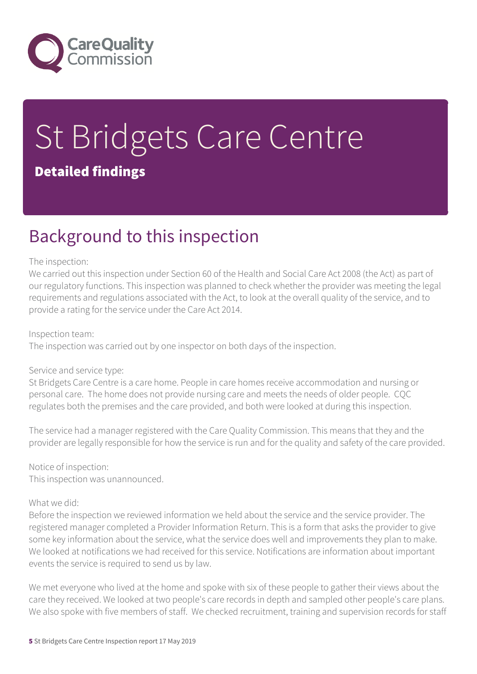

# St Bridgets Care Centre Detailed findings

### Background to this inspection

#### The inspection:

We carried out this inspection under Section 60 of the Health and Social Care Act 2008 (the Act) as part of our regulatory functions. This inspection was planned to check whether the provider was meeting the legal requirements and regulations associated with the Act, to look at the overall quality of the service, and to provide a rating for the service under the Care Act 2014.

Inspection team: The inspection was carried out by one inspector on both days of the inspection.

#### Service and service type:

St Bridgets Care Centre is a care home. People in care homes receive accommodation and nursing or personal care. The home does not provide nursing care and meets the needs of older people. CQC regulates both the premises and the care provided, and both were looked at during this inspection.

The service had a manager registered with the Care Quality Commission. This means that they and the provider are legally responsible for how the service is run and for the quality and safety of the care provided.

Notice of inspection: This inspection was unannounced.

#### What we did:

Before the inspection we reviewed information we held about the service and the service provider. The registered manager completed a Provider Information Return. This is a form that asks the provider to give some key information about the service, what the service does well and improvements they plan to make. We looked at notifications we had received for this service. Notifications are information about important events the service is required to send us by law.

We met everyone who lived at the home and spoke with six of these people to gather their views about the care they received. We looked at two people's care records in depth and sampled other people's care plans. We also spoke with five members of staff. We checked recruitment, training and supervision records for staff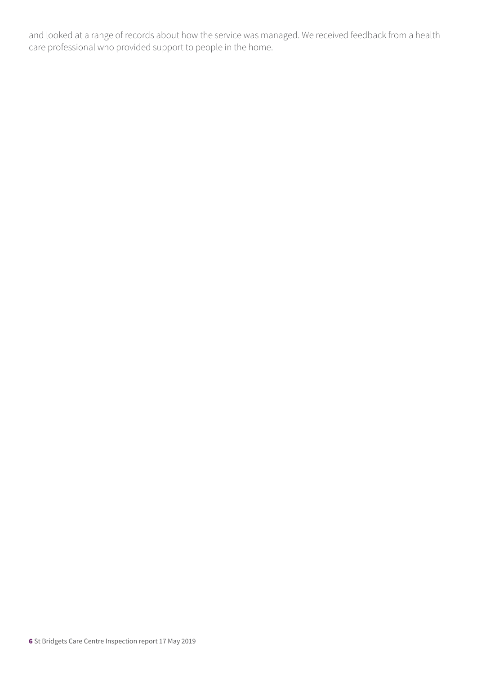and looked at a range of records about how the service was managed. We received feedback from a health care professional who provided support to people in the home.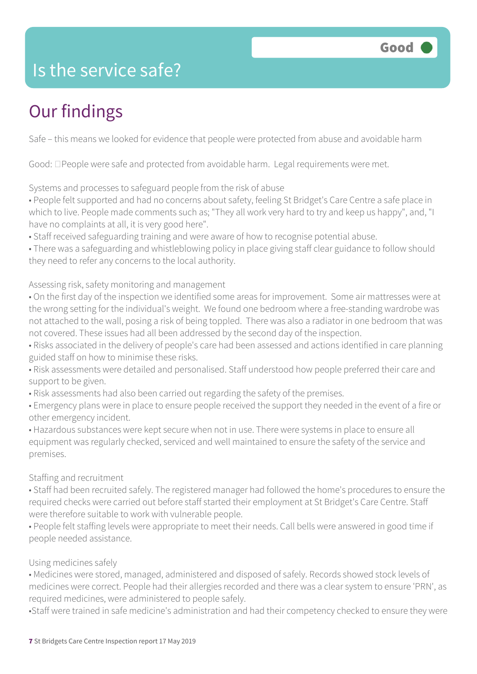### Is the service safe?

## Our findings

Safe – this means we looked for evidence that people were protected from abuse and avoidable harm

Good:  $\Box$  People were safe and protected from avoidable harm. Legal requirements were met.

Systems and processes to safeguard people from the risk of abuse

• People felt supported and had no concerns about safety, feeling St Bridget's Care Centre a safe place in which to live. People made comments such as; "They all work very hard to try and keep us happy", and, "I have no complaints at all, it is very good here".

• Staff received safeguarding training and were aware of how to recognise potential abuse.

• There was a safeguarding and whistleblowing policy in place giving staff clear guidance to follow should they need to refer any concerns to the local authority.

Assessing risk, safety monitoring and management

• On the first day of the inspection we identified some areas for improvement. Some air mattresses were at the wrong setting for the individual's weight. We found one bedroom where a free-standing wardrobe was not attached to the wall, posing a risk of being toppled. There was also a radiator in one bedroom that was not covered. These issues had all been addressed by the second day of the inspection.

- Risks associated in the delivery of people's care had been assessed and actions identified in care planning guided staff on how to minimise these risks.
- Risk assessments were detailed and personalised. Staff understood how people preferred their care and support to be given.
- Risk assessments had also been carried out regarding the safety of the premises.

• Emergency plans were in place to ensure people received the support they needed in the event of a fire or other emergency incident.

• Hazardous substances were kept secure when not in use. There were systems in place to ensure all equipment was regularly checked, serviced and well maintained to ensure the safety of the service and premises.

#### Staffing and recruitment

• Staff had been recruited safely. The registered manager had followed the home's procedures to ensure the required checks were carried out before staff started their employment at St Bridget's Care Centre. Staff were therefore suitable to work with vulnerable people.

• People felt staffing levels were appropriate to meet their needs. Call bells were answered in good time if people needed assistance.

#### Using medicines safely

• Medicines were stored, managed, administered and disposed of safely. Records showed stock levels of medicines were correct. People had their allergies recorded and there was a clear system to ensure 'PRN', as required medicines, were administered to people safely.

•Staff were trained in safe medicine's administration and had their competency checked to ensure they were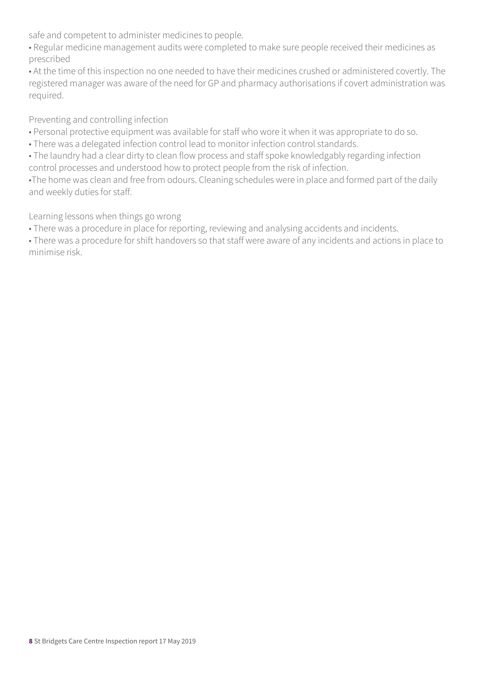safe and competent to administer medicines to people.

• Regular medicine management audits were completed to make sure people received their medicines as prescribed

• At the time of this inspection no one needed to have their medicines crushed or administered covertly. The registered manager was aware of the need for GP and pharmacy authorisations if covert administration was required.

Preventing and controlling infection

- Personal protective equipment was available for staff who wore it when it was appropriate to do so.
- There was a delegated infection control lead to monitor infection control standards.
- The laundry had a clear dirty to clean flow process and staff spoke knowledgably regarding infection control processes and understood how to protect people from the risk of infection.

•The home was clean and free from odours. Cleaning schedules were in place and formed part of the daily and weekly duties for staff.

Learning lessons when things go wrong

• There was a procedure in place for reporting, reviewing and analysing accidents and incidents.

• There was a procedure for shift handovers so that staff were aware of any incidents and actions in place to minimise risk.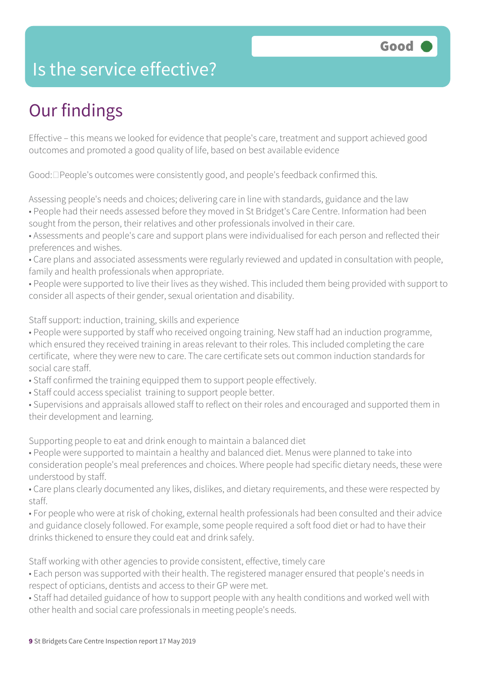### Is the service effective?

## Our findings

Effective – this means we looked for evidence that people's care, treatment and support achieved good outcomes and promoted a good quality of life, based on best available evidence

 $Good: \Box People's outcomes were consistently good, and people's feedback confirmed this.$ 

Assessing people's needs and choices; delivering care in line with standards, guidance and the law

- People had their needs assessed before they moved in St Bridget's Care Centre. Information had been sought from the person, their relatives and other professionals involved in their care.
- Assessments and people's care and support plans were individualised for each person and reflected their preferences and wishes.
- Care plans and associated assessments were regularly reviewed and updated in consultation with people, family and health professionals when appropriate.
- People were supported to live their lives as they wished. This included them being provided with support to consider all aspects of their gender, sexual orientation and disability.

Staff support: induction, training, skills and experience

• People were supported by staff who received ongoing training. New staff had an induction programme, which ensured they received training in areas relevant to their roles. This included completing the care certificate, where they were new to care. The care certificate sets out common induction standards for social care staff.

- Staff confirmed the training equipped them to support people effectively.
- Staff could access specialist training to support people better.
- Supervisions and appraisals allowed staff to reflect on their roles and encouraged and supported them in their development and learning.

Supporting people to eat and drink enough to maintain a balanced diet

- People were supported to maintain a healthy and balanced diet. Menus were planned to take into consideration people's meal preferences and choices. Where people had specific dietary needs, these were understood by staff.
- Care plans clearly documented any likes, dislikes, and dietary requirements, and these were respected by staff.
- For people who were at risk of choking, external health professionals had been consulted and their advice and guidance closely followed. For example, some people required a soft food diet or had to have their drinks thickened to ensure they could eat and drink safely.

Staff working with other agencies to provide consistent, effective, timely care

- Each person was supported with their health. The registered manager ensured that people's needs in respect of opticians, dentists and access to their GP were met.
- Staff had detailed guidance of how to support people with any health conditions and worked well with other health and social care professionals in meeting people's needs.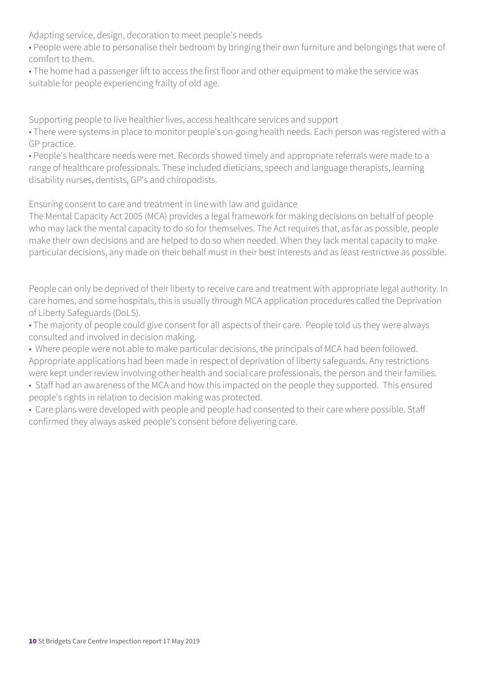Adapting service, design, decoration to meet people's needs

• People were able to personalise their bedroom by bringing their own furniture and belongings that were of comfort to them.

• The home had a passenger lift to access the first floor and other equipment to make the service was suitable for people experiencing frailty of old age.

Supporting people to live healthier lives, access healthcare services and support

• There were systems in place to monitor people's on-going health needs. Each person was registered with a GP practice.

• People's healthcare needs were met. Records showed timely and appropriate referrals were made to a range of healthcare professionals. These included dieticians, speech and language therapists, learning disability nurses, dentists, GP's and chiropodists.

Ensuring consent to care and treatment in line with law and guidance

The Mental Capacity Act 2005 (MCA) provides a legal framework for making decisions on behalf of people who may lack the mental capacity to do so for themselves. The Act requires that, as far as possible, people make their own decisions and are helped to do so when needed. When they lack mental capacity to make particular decisions, any made on their behalf must in their best interests and as least restrictive as possible.

People can only be deprived of their liberty to receive care and treatment with appropriate legal authority. In care homes, and some hospitals, this is usually through MCA application procedures called the Deprivation of Liberty Safeguards (DoLS).

• The majority of people could give consent for all aspects of their care. People told us they were always consulted and involved in decision making.

- Where people were not able to make particular decisions, the principals of MCA had been followed. Appropriate applications had been made in respect of deprivation of liberty safeguards. Any restrictions were kept under review involving other health and social care professionals, the person and their families.
- Staff had an awareness of the MCA and how this impacted on the people they supported. This ensured people's rights in relation to decision making was protected.
- Care plans were developed with people and people had consented to their care where possible. Staff confirmed they always asked people's consent before delivering care.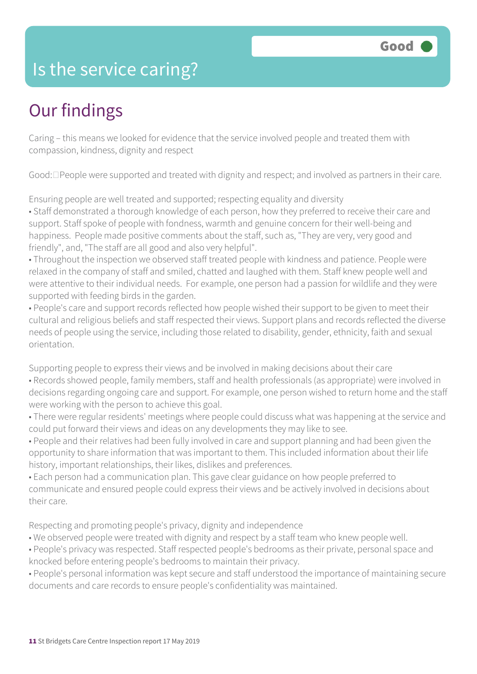#### Is the service caring?

### Our findings

Caring – this means we looked for evidence that the service involved people and treated them with compassion, kindness, dignity and respect

Good:  $\Box$  People were supported and treated with dignity and respect; and involved as partners in their care.

Ensuring people are well treated and supported; respecting equality and diversity

• Staff demonstrated a thorough knowledge of each person, how they preferred to receive their care and support. Staff spoke of people with fondness, warmth and genuine concern for their well-being and happiness. People made positive comments about the staff, such as, "They are very, very good and friendly", and, "The staff are all good and also very helpful".

• Throughout the inspection we observed staff treated people with kindness and patience. People were relaxed in the company of staff and smiled, chatted and laughed with them. Staff knew people well and were attentive to their individual needs. For example, one person had a passion for wildlife and they were supported with feeding birds in the garden.

• People's care and support records reflected how people wished their support to be given to meet their cultural and religious beliefs and staff respected their views. Support plans and records reflected the diverse needs of people using the service, including those related to disability, gender, ethnicity, faith and sexual orientation.

Supporting people to express their views and be involved in making decisions about their care

- Records showed people, family members, staff and health professionals (as appropriate) were involved in decisions regarding ongoing care and support. For example, one person wished to return home and the staff were working with the person to achieve this goal.
- There were regular residents' meetings where people could discuss what was happening at the service and could put forward their views and ideas on any developments they may like to see.
- People and their relatives had been fully involved in care and support planning and had been given the opportunity to share information that was important to them. This included information about their life history, important relationships, their likes, dislikes and preferences.
- Each person had a communication plan. This gave clear guidance on how people preferred to communicate and ensured people could express their views and be actively involved in decisions about their care.

Respecting and promoting people's privacy, dignity and independence

- We observed people were treated with dignity and respect by a staff team who knew people well.
- People's privacy was respected. Staff respected people's bedrooms as their private, personal space and knocked before entering people's bedrooms to maintain their privacy.
- People's personal information was kept secure and staff understood the importance of maintaining secure documents and care records to ensure people's confidentiality was maintained.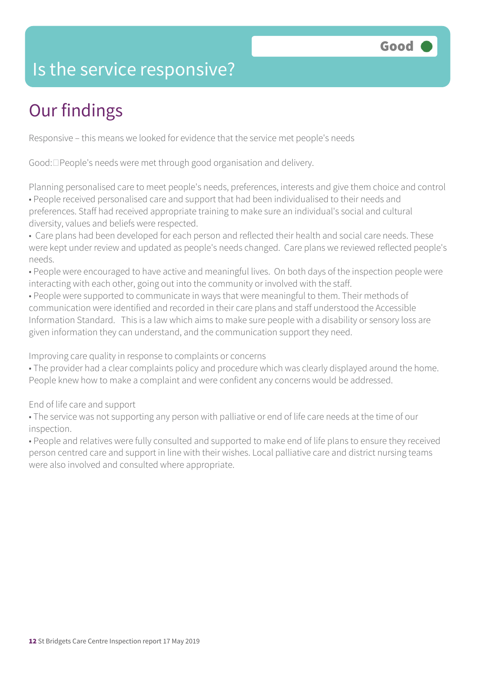### Is the service responsive?

# Our findings

Responsive – this means we looked for evidence that the service met people's needs

Good:  $\Box$  People's needs were met through good organisation and delivery.

Planning personalised care to meet people's needs, preferences, interests and give them choice and control • People received personalised care and support that had been individualised to their needs and preferences. Staff had received appropriate training to make sure an individual's social and cultural diversity, values and beliefs were respected.

• Care plans had been developed for each person and reflected their health and social care needs. These were kept under review and updated as people's needs changed. Care plans we reviewed reflected people's needs.

• People were encouraged to have active and meaningful lives. On both days of the inspection people were interacting with each other, going out into the community or involved with the staff.

• People were supported to communicate in ways that were meaningful to them. Their methods of communication were identified and recorded in their care plans and staff understood the Accessible Information Standard. This is a law which aims to make sure people with a disability or sensory loss are given information they can understand, and the communication support they need.

Improving care quality in response to complaints or concerns

• The provider had a clear complaints policy and procedure which was clearly displayed around the home. People knew how to make a complaint and were confident any concerns would be addressed.

End of life care and support

• The service was not supporting any person with palliative or end of life care needs at the time of our inspection.

• People and relatives were fully consulted and supported to make end of life plans to ensure they received person centred care and support in line with their wishes. Local palliative care and district nursing teams were also involved and consulted where appropriate.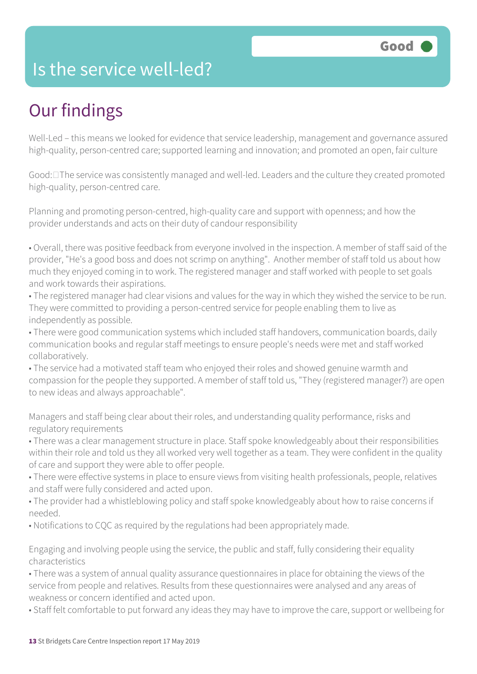#### Is the service well-led?

### Our findings

Well-Led – this means we looked for evidence that service leadership, management and governance assured high-quality, person-centred care; supported learning and innovation; and promoted an open, fair culture

Good:  $\Box$  The service was consistently managed and well-led. Leaders and the culture they created promoted high-quality, person-centred care.

Planning and promoting person-centred, high-quality care and support with openness; and how the provider understands and acts on their duty of candour responsibility

• Overall, there was positive feedback from everyone involved in the inspection. A member of staff said of the provider, "He's a good boss and does not scrimp on anything". Another member of staff told us about how much they enjoyed coming in to work. The registered manager and staff worked with people to set goals and work towards their aspirations.

• The registered manager had clear visions and values for the way in which they wished the service to be run. They were committed to providing a person-centred service for people enabling them to live as independently as possible.

• There were good communication systems which included staff handovers, communication boards, daily communication books and regular staff meetings to ensure people's needs were met and staff worked collaboratively.

• The service had a motivated staff team who enjoyed their roles and showed genuine warmth and compassion for the people they supported. A member of staff told us, "They (registered manager?) are open to new ideas and always approachable".

Managers and staff being clear about their roles, and understanding quality performance, risks and regulatory requirements

• There was a clear management structure in place. Staff spoke knowledgeably about their responsibilities within their role and told us they all worked very well together as a team. They were confident in the quality of care and support they were able to offer people.

• There were effective systems in place to ensure views from visiting health professionals, people, relatives and staff were fully considered and acted upon.

• The provider had a whistleblowing policy and staff spoke knowledgeably about how to raise concerns if needed.

• Notifications to CQC as required by the regulations had been appropriately made.

Engaging and involving people using the service, the public and staff, fully considering their equality characteristics

• There was a system of annual quality assurance questionnaires in place for obtaining the views of the service from people and relatives. Results from these questionnaires were analysed and any areas of weakness or concern identified and acted upon.

• Staff felt comfortable to put forward any ideas they may have to improve the care, support or wellbeing for